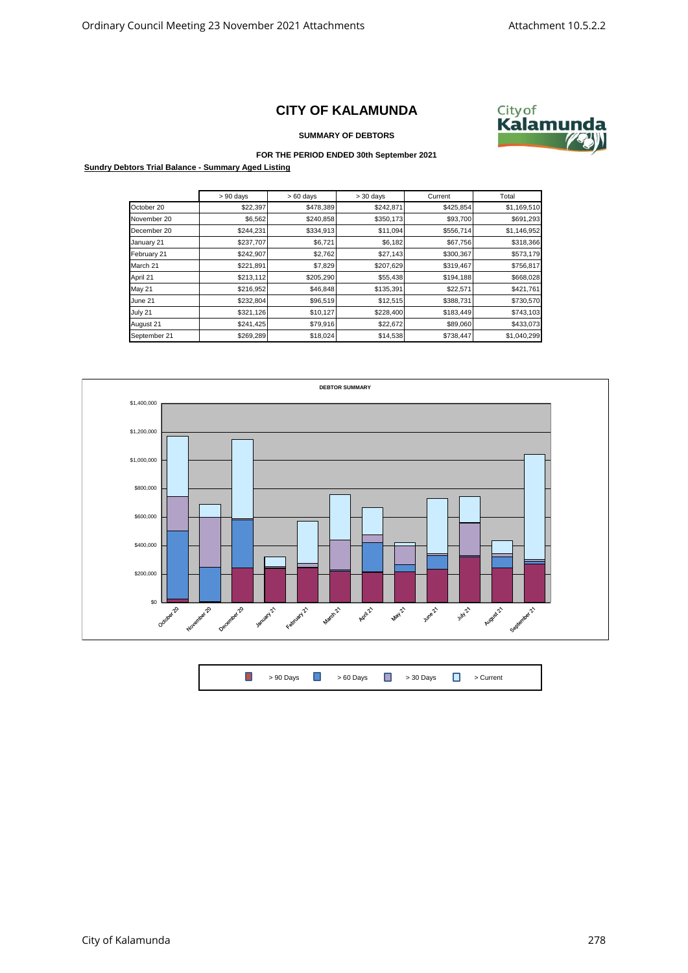## **CITY OF KALAMUNDA**



**SUMMARY OF DEBTORS**

## **FOR THE PERIOD ENDED 30th September 2021**

**Sundry Debtors Trial Balance - Summary Aged Listing**

|              | $> 90$ days | $>60$ days | $>30$ days | Current   | Total       |
|--------------|-------------|------------|------------|-----------|-------------|
| October 20   | \$22,397    | \$478,389  | \$242,871  | \$425,854 | \$1,169,510 |
| November 20  | \$6,562     | \$240,858  | \$350,173  | \$93,700  | \$691,293   |
| December 20  | \$244,231   | \$334,913  | \$11,094   | \$556,714 | \$1,146,952 |
| January 21   | \$237,707   | \$6,721    | \$6,182    | \$67,756  | \$318,366   |
| February 21  | \$242,907   | \$2,762    | \$27,143   | \$300,367 | \$573,179   |
| March 21     | \$221,891   | \$7,829    | \$207,629  | \$319,467 | \$756,817   |
| April 21     | \$213,112   | \$205,290  | \$55,438   | \$194,188 | \$668,028   |
| May 21       | \$216,952   | \$46,848   | \$135,391  | \$22,571  | \$421,761   |
| June 21      | \$232,804   | \$96,519   | \$12,515   | \$388,731 | \$730,570   |
| July 21      | \$321,126   | \$10,127   | \$228,400  | \$183,449 | \$743,103   |
| August 21    | \$241,425   | \$79,916   | \$22,672   | \$89,060  | \$433,073   |
| September 21 | \$269,289   | \$18,024   | \$14,538   | \$738,447 | \$1,040,299 |



| <b>1</b> > 90 Days <b>1</b> > 60 Days <b>1</b> > 30 Days <b>1</b> > Current |  |  |  |  |  |  |  |  |  |
|-----------------------------------------------------------------------------|--|--|--|--|--|--|--|--|--|
|-----------------------------------------------------------------------------|--|--|--|--|--|--|--|--|--|